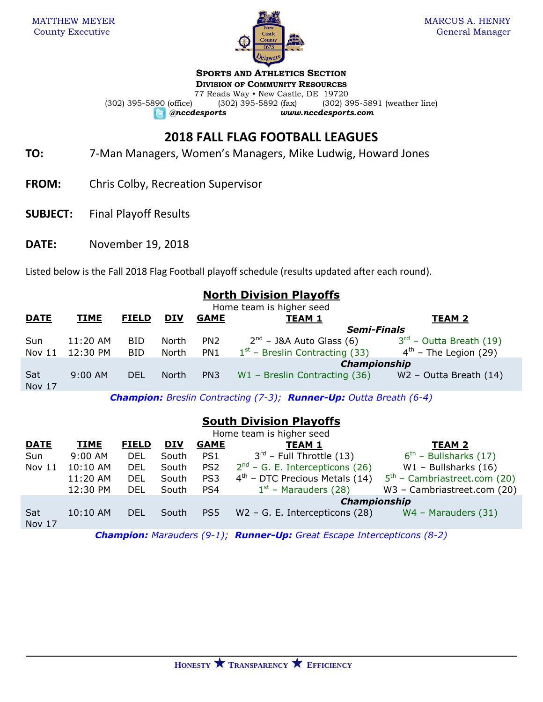

**SPORTS AND ATHLETICS SECTION**

**DIVISION OF COMMUNITY RESOURCES**

77 Reads Way • New Castle, DE 19720<br>(302) 395-5892 (fax) (302) 3 (302) 395-5890 (office) (302) 395-5892 (fax) (302) 395-5891 (weather line) *@nccdesports www.nccdesports.com*

# **2018 FALL FLAG FOOTBALL LEAGUES**

- **TO:** 7-Man Managers, Women's Managers, Mike Ludwig, Howard Jones
- **FROM:** Chris Colby, Recreation Supervisor
- **SUBJECT:** Final Playoff Results
- **DATE:** November 19, 2018

Listed below is the Fall 2018 Flag Football playoff schedule (results updated after each round).

## **North Division Playoffs**

| Home team is higher seed |             |              |              |                    |                                  |                              |  |  |  |
|--------------------------|-------------|--------------|--------------|--------------------|----------------------------------|------------------------------|--|--|--|
| <b>DATE</b>              | <b>TIME</b> | <b>FIELD</b> | <b>DIV</b>   | <b>GAME</b>        | <b>TEAM 1</b>                    | TEAM <sub>2</sub>            |  |  |  |
|                          |             |              |              | <b>Semi-Finals</b> |                                  |                              |  |  |  |
| Sun                      | 11:20 AM    | <b>BID</b>   | North        | PN <sub>2</sub>    | $2nd$ – J&A Auto Glass (6)       | $3^{rd}$ – Outta Breath (19) |  |  |  |
| Nov $11$                 | 12:30 PM    | BID          | North        | PN1                | $1st$ – Breslin Contracting (33) | $4th$ – The Legion (29)      |  |  |  |
|                          |             |              |              |                    | Championship                     |                              |  |  |  |
| Sat<br>Nov 17            | $9:00$ AM   | <b>DEL</b>   | <b>North</b> | PN <sub>3</sub>    | $W1$ – Breslin Contracting (36)  | $W2$ – Outta Breath (14)     |  |  |  |

*Champion: Breslin Contracting (7-3); Runner-Up: Outta Breath (6-4)*

## **South Division Playoffs**

| Home team is higher seed |             |              |            |                 |                                      |                                |  |  |  |
|--------------------------|-------------|--------------|------------|-----------------|--------------------------------------|--------------------------------|--|--|--|
| <b>DATE</b>              | <b>TIME</b> | <b>FIELD</b> | <b>DIV</b> | <b>GAME</b>     | <b>TEAM 1</b>                        | <b>TEAM 2</b>                  |  |  |  |
| Sun                      | 9:00 AM     | DEL          | South      | PS1             | $3^{\text{rd}}$ – Full Throttle (13) | $6th$ – Bullsharks (17)        |  |  |  |
| Nov 11                   | 10:10 AM    | DEL          | South      | PS <sub>2</sub> | $2^{nd}$ – G. E. Intercepticons (26) | $W1$ – Bullsharks (16)         |  |  |  |
|                          | 11:20 AM    | DEL          | South      | PS3             | $4th$ – DTC Precious Metals (14)     | $5th$ – Cambriastreet.com (20) |  |  |  |
|                          | 12:30 PM    | DEL          | South      | PS4             | $1st$ – Marauders (28)               | W3 - Cambriastreet.com (20)    |  |  |  |
|                          |             |              |            |                 | <b>Championship</b>                  |                                |  |  |  |
| Sat<br>Nov 17            | 10:10 AM    | <b>DEL</b>   | South      | PS5             | $W2 - G.$ E. Intercepticons (28)     | $WA - Marauders (31)$          |  |  |  |

*Champion: Marauders (9-1); Runner-Up: Great Escape Intercepticons (8-2)*